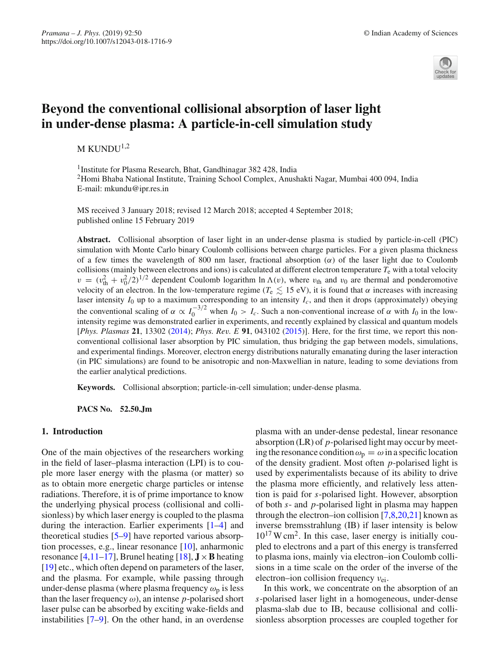

# **Beyond the conventional collisional absorption of laser light in under-dense plasma: A particle-in-cell simulation study**

M KUNDU $1,2$ 

<sup>1</sup> Institute for Plasma Research, Bhat, Gandhinagar 382 428, India 2Homi Bhaba National Institute, Training School Complex, Anushakti Nagar, Mumbai 400 094, India E-mail: mkundu@ipr.res.in

MS received 3 January 2018; revised 12 March 2018; accepted 4 September 2018; published online 15 February 2019

**Abstract.** Collisional absorption of laser light in an under-dense plasma is studied by particle-in-cell (PIC) simulation with Monte Carlo binary Coulomb collisions between charge particles. For a given plasma thickness of a few times the wavelength of 800 nm laser, fractional absorption  $(\alpha)$  of the laser light due to Coulomb collisions (mainly between electrons and ions) is calculated at different electron temperature  $T_e$  with a total velocity  $v = (v_{\text{th}}^2 + v_0^2/2)^{1/2}$  dependent Coulomb logarithm ln  $\Lambda(v)$ , where  $v_{\text{th}}$  and  $v_0$  are thermal and ponderomotive velocity of an electron. In the low-temperature regime ( $T_e \lesssim 15$  eV), it is found that  $\alpha$  increases with increasing laser intensity  $I_0$  up to a maximum corresponding to an intensity  $I_c$ , and then it drops (approximately) obeying the conventional scaling of  $\alpha \propto I_0^{-3/2}$  when  $I_0 > I_c$ . Such a non-conventional increase of  $\alpha$  with  $I_0$  in the lowintensity regime was demonstrated earlier in experiments, and recently explained by classical and quantum models [*Phys. Plasmas* **21**, 13302 [\(2014\)](#page-7-0); *Phys. Rev. E* **91**, 043102 [\(2015\)](#page-7-1)]. Here, for the first time, we report this nonconventional collisional laser absorption by PIC simulation, thus bridging the gap between models, simulations, and experimental findings. Moreover, electron energy distributions naturally emanating during the laser interaction (in PIC simulations) are found to be anisotropic and non-Maxwellian in nature, leading to some deviations from the earlier analytical predictions.

**Keywords.** Collisional absorption; particle-in-cell simulation; under-dense plasma.

**PACS No. 52.50.Jm**

## **1. Introduction**

One of the main objectives of the researchers working in the field of laser–plasma interaction (LPI) is to couple more laser energy with the plasma (or matter) so as to obtain more energetic charge particles or intense radiations. Therefore, it is of prime importance to know the underlying physical process (collisional and collisionless) by which laser energy is coupled to the plasma during the interaction. Earlier experiments [\[1](#page-6-0)[–4\]](#page-6-1) and theoretical studies [\[5](#page-6-2)[–9\]](#page-6-3) have reported various absorption processes, e.g., linear resonance [\[10](#page-6-4)], anharmonic resonance  $[4,11-17]$  $[4,11-17]$  $[4,11-17]$ , Brunel heating  $[18]$ ,  $J \times B$  heating [\[19](#page-7-4)] etc., which often depend on parameters of the laser, and the plasma. For example, while passing through under-dense plasma (where plasma frequency  $\omega_p$  is less than the laser frequency  $\omega$ ), an intense *p*-polarised short laser pulse can be absorbed by exciting wake-fields and instabilities [\[7](#page-6-6)[–9\]](#page-6-3). On the other hand, in an overdense plasma with an under-dense pedestal, linear resonance absorption (LR) of *p*-polarised light may occur by meeting the resonance condition  $\omega_p = \omega$  in a specific location of the density gradient. Most often *p*-polarised light is used by experimentalists because of its ability to drive the plasma more efficiently, and relatively less attention is paid for *s*-polarised light. However, absorption of both *s*- and *p*-polarised light in plasma may happen through the electron–ion collision  $[7,8,20,21]$  $[7,8,20,21]$  $[7,8,20,21]$  $[7,8,20,21]$  known as inverse bremsstrahlung (IB) if laser intensity is below  $10^{17}$  W cm<sup>2</sup>. In this case, laser energy is initially coupled to electrons and a part of this energy is transferred to plasma ions, mainly via electron–ion Coulomb collisions in a time scale on the order of the inverse of the electron–ion collision frequency  $v_{ei}$ .

In this work, we concentrate on the absorption of an *s*-polarised laser light in a homogeneous, under-dense plasma-slab due to IB, because collisional and collisionless absorption processes are coupled together for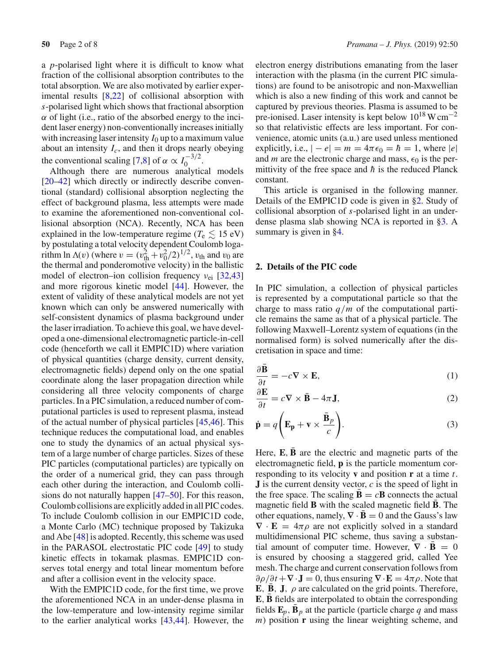a *p*-polarised light where it is difficult to know what fraction of the collisional absorption contributes to the total absorption. We are also motivated by earlier experimental results [\[8](#page-6-7)[,22\]](#page-7-7) of collisional absorption with *s*-polarised light which shows that fractional absorption  $\alpha$  of light (i.e., ratio of the absorbed energy to the incident laser energy) non-conventionally increases initially with increasing laser intensity  $I_0$  up to a maximum value about an intensity  $I_c$ , and then it drops nearly obeying the conventional scaling [\[7](#page-6-6)[,8](#page-6-7)] of  $\alpha \propto I_0^{-3/2}$ .

Although there are numerous analytical models [\[20](#page-7-5)[–42\]](#page-7-8) which directly or indirectly describe conventional (standard) collisional absorption neglecting the effect of background plasma, less attempts were made to examine the aforementioned non-conventional collisional absorption (NCA). Recently, NCA has been explained in the low-temperature regime ( $T_e \lesssim 15 \text{ eV}$ ) by postulating a total velocity dependent Coulomb logarithm ln  $\Lambda(v)$  (where  $v = (v_{\text{th}}^2 + v_0^2/2)^{1/2}$ ,  $v_{\text{th}}$  and  $v_0$  are the thermal and ponderomotive velocity) in the ballistic model of electron–ion collision frequency  $v_{\text{ei}}$  [\[32](#page-7-9)[,43\]](#page-7-0) and more rigorous kinetic model [\[44\]](#page-7-1). However, the extent of validity of these analytical models are not yet known which can only be answered numerically with self-consistent dynamics of plasma background under the laser irradiation. To achieve this goal, we have developed a one-dimensional electromagnetic particle-in-cell code (henceforth we call it EMPIC1D) where variation of physical quantities (charge density, current density, electromagnetic fields) depend only on the one spatial coordinate along the laser propagation direction while considering all three velocity components of charge particles. In a PIC simulation, a reduced number of computational particles is used to represent plasma, instead of the actual number of physical particles [\[45](#page-7-10)[,46\]](#page-7-11). This technique reduces the computational load, and enables one to study the dynamics of an actual physical system of a large number of charge particles. Sizes of these PIC particles (computational particles) are typically on the order of a numerical grid, they can pass through each other during the interaction, and Coulomb collisions do not naturally happen [\[47](#page-7-12)[–50](#page-7-13)]. For this reason, Coulomb collisions are explicitly added in all PIC codes. To include Coulomb collision in our EMPIC1D code, a Monte Carlo (MC) technique proposed by Takizuka and Abe [\[48\]](#page-7-14) is adopted. Recently, this scheme was used in the PARASOL electrostatic PIC code [\[49](#page-7-15)] to study kinetic effects in tokamak plasmas. EMPIC1D conserves total energy and total linear momentum before and after a collision event in the velocity space.

With the EMPIC1D code, for the first time, we prove the aforementioned NCA in an under-dense plasma in the low-temperature and low-intensity regime similar to the earlier analytical works [\[43](#page-7-0)[,44\]](#page-7-1). However, the electron energy distributions emanating from the laser interaction with the plasma (in the current PIC simulations) are found to be anisotropic and non-Maxwellian which is also a new finding of this work and cannot be captured by previous theories. Plasma is assumed to be pre-ionised. Laser intensity is kept below 10<sup>18</sup> W cm−<sup>2</sup> so that relativistic effects are less important. For convenience, atomic units (a.u.) are used unless mentioned explicitly, i.e.,  $|-e| = m = 4\pi\epsilon_0 = \hbar = 1$ , where  $|e|$ and *m* are the electronic charge and mass,  $\epsilon_0$  is the permittivity of the free space and  $\hbar$  is the reduced Planck constant.

This article is organised in the following manner. Details of the EMPIC1D code is given in [§2.](#page-1-0) Study of collisional absorption of *s*-polarised light in an underdense plasma slab showing NCA is reported in [§3.](#page-3-0) A summary is given in [§4.](#page-6-8)

### <span id="page-1-0"></span>**2. Details of the PIC code**

In PIC simulation, a collection of physical particles is represented by a computational particle so that the charge to mass ratio *q*/*m* of the computational particle remains the same as that of a physical particle. The following Maxwell–Lorentz system of equations (in the normalised form) is solved numerically after the discretisation in space and time:

<span id="page-1-1"></span>
$$
\frac{\partial \mathbf{B}}{\partial t} = -c \nabla \times \mathbf{E},\tag{1}
$$

$$
\frac{\partial \mathbf{E}}{\partial t} = c \nabla \times \mathbf{\bar{B}} - 4\pi \mathbf{J},\tag{2}
$$

$$
\dot{\mathbf{p}} = q \left( \mathbf{E}_{\mathbf{p}} + \mathbf{v} \times \frac{\bar{\mathbf{B}}_{p}}{c} \right).
$$
 (3)

Here,  $\mathbf{E}, \mathbf{\bar{B}}$  are the electric and magnetic parts of the electromagnetic field, **p** is the particle momentum corresponding to its velocity **v** and position **r** at a time *t*. **J** is the current density vector, *c* is the speed of light in the free space. The scaling  $\mathbf{B} = c\mathbf{B}$  connects the actual magnetic field **B** with the scaled magnetic field **B**. The other equations, namely,  $\nabla \cdot \mathbf{B} = 0$  and the Gauss's law  $\nabla \cdot \mathbf{E} = 4\pi \rho$  are not explicitly solved in a standard multidimensional PIC scheme, thus saving a substantial amount of computer time. However,  $\nabla \cdot \mathbf{B} = 0$ is ensured by choosing a staggered grid, called Yee mesh. The charge and current conservation follows from  $\partial \rho / \partial t + \nabla \cdot \mathbf{J} = 0$ , thus ensuring  $\nabla \cdot \mathbf{E} = 4\pi \rho$ . Note that **E**, **B**, **J**,  $\rho$  are calculated on the grid points. Therefore, **E**, **B** fields are interpolated to obtain the corresponding fields  $\mathbf{E}_p$ ,  $\mathbf{B}_p$  at the particle (particle charge *q* and mass *m*) position **r** using the linear weighting scheme, and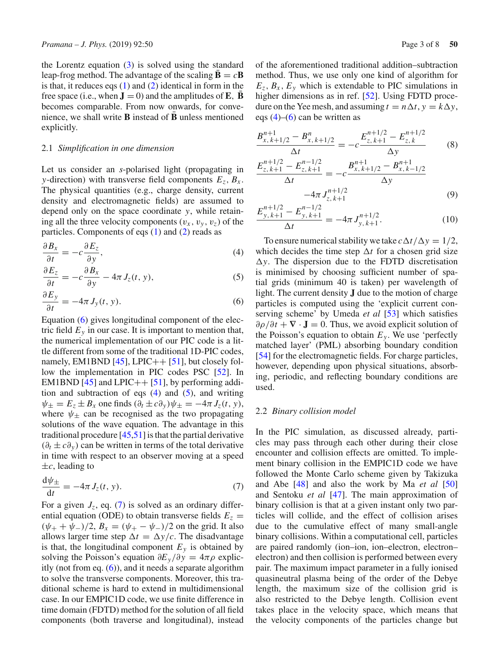the Lorentz equation  $(3)$  is solved using the standard leap-frog method. The advantage of the scaling  $\mathbf{B} = c\mathbf{B}$ is that, it reduces eqs  $(1)$  and  $(2)$  identical in form in the free space (i.e., when  $\mathbf{J} = 0$ ) and the amplitudes of **E**, **B** becomes comparable. From now onwards, for convenience, we shall write  $\bf{B}$  instead of  $\bf{B}$  unless mentioned explicitly.

#### 2.1 *Simplification in one dimension*

Let us consider an *s*-polarised light (propagating in *y*-direction) with transverse field components  $E_z$ ,  $B_x$ . The physical quantities (e.g., charge density, current density and electromagnetic fields) are assumed to depend only on the space coordinate *y*, while retaining all the three velocity components  $(v_x, v_y, v_z)$  of the particles. Components of eqs [\(1\)](#page-1-1) and [\(2\)](#page-1-1) reads as

<span id="page-2-0"></span>
$$
\frac{\partial B_x}{\partial t} = -c \frac{\partial E_z}{\partial y},\tag{4}
$$

$$
\frac{\partial E_z}{\partial t} = -c \frac{\partial B_x}{\partial y} - 4\pi J_z(t, y),\tag{5}
$$

$$
\frac{\partial E_y}{\partial t} = -4\pi J_y(t, y). \tag{6}
$$

Equation [\(6\)](#page-2-0) gives longitudinal component of the electric field  $E_y$  in our case. It is important to mention that, the numerical implementation of our PIC code is a little different from some of the traditional 1D-PIC codes, namely, EM1BND  $[45]$ , LPIC++  $[51]$ , but closely follow the implementation in PIC codes PSC [\[52\]](#page-7-17). In EM1BND  $[45]$  and LPIC++  $[51]$ , by performing addition and subtraction of eqs  $(4)$  and  $(5)$ , and writing  $\psi_{\pm} = E_z \pm B_x$  one finds  $(\partial_t \pm c \partial_y) \psi_{\pm} = -4\pi J_z(t, y)$ , where  $\psi_{\pm}$  can be recognised as the two propagating solutions of the wave equation. The advantage in this traditional procedure [\[45](#page-7-10)[,51](#page-7-16)] is that the partial derivative  $(\partial_t \pm c\partial_y)$  can be written in terms of the total derivative in time with respect to an observer moving at a speed  $\pm c$ , leading to

<span id="page-2-1"></span>
$$
\frac{\mathrm{d}\psi_{\pm}}{\mathrm{d}t} = -4\pi J_z(t, y). \tag{7}
$$

For a given  $J_z$ , eq. [\(7\)](#page-2-1) is solved as an ordinary differential equation (ODE) to obtain transverse fields  $E_z$  =  $(\psi_{+} + \psi_{-})/2$ ,  $B_x = (\psi_{+} - \psi_{-})/2$  on the grid. It also allows larger time step  $\Delta t = \Delta y/c$ . The disadvantage is that, the longitudinal component  $E_y$  is obtained by solving the Poisson's equation  $\partial E_y / \partial y = 4\pi \rho$  explicitly (not from eq.  $(6)$ ), and it needs a separate algorithm to solve the transverse components. Moreover, this traditional scheme is hard to extend in multidimensional case. In our EMPIC1D code, we use finite difference in time domain (FDTD) method for the solution of all field components (both traverse and longitudinal), instead of the aforementioned traditional addition–subtraction method. Thus, we use only one kind of algorithm for  $E_z$ ,  $B_x$ ,  $E_y$  which is extendable to PIC simulations in higher dimensions as in ref. [\[52](#page-7-17)]. Using FDTD procedure on the Yee mesh, and assuming  $t = n \Delta t$ ,  $y = k \Delta y$ , eqs  $(4)$ – $(6)$  can be written as

$$
\frac{B_{x,k+1/2}^{n+1} - B_{x,k+1/2}^n}{\Delta t} = -c \frac{E_{z,k+1}^{n+1/2} - E_{z,k}^{n+1/2}}{\Delta y}
$$
(8)

$$
\frac{E_{z,k+1}^{n+1/2} - E_{z,k+1}^{n-1/2}}{\Delta t} = -c \frac{B_{x,k+1/2}^{n+1} - B_{x,k-1/2}^{n+1}}{\Delta y}
$$
  
-4\pi J\_{z,k+1}^{n+1/2} (9)

$$
\frac{E_{y,k+1}^{n+1/2} - E_{y,k+1}^{n-1/2}}{\Delta t} = -4\pi J_{y,k+1}^{n+1/2}.
$$
 (10)

To ensure numerical stability we take  $c \Delta t / \Delta y = 1/2$ , which decides the time step  $\Delta t$  for a chosen grid size  $\Delta y$ . The dispersion due to the FDTD discretisation is minimised by choosing sufficient number of spatial grids (minimum 40 is taken) per wavelength of light. The current density **J** due to the motion of charge particles is computed using the 'explicit current conserving scheme' by Umeda *et al* [\[53](#page-7-18)] which satisfies  $\partial \rho / \partial t + \nabla \cdot \mathbf{J} = 0$ . Thus, we avoid explicit solution of the Poisson's equation to obtain  $E_y$ . We use 'perfectly matched layer' (PML) absorbing boundary condition [\[54](#page-7-19)] for the electromagnetic fields. For charge particles, however, depending upon physical situations, absorbing, periodic, and reflecting boundary conditions are used.

#### 2.2 *Binary collision model*

In the PIC simulation, as discussed already, particles may pass through each other during their close encounter and collision effects are omitted. To implement binary collision in the EMPIC1D code we have followed the Monte Carlo scheme given by Takizuka and Abe [\[48\]](#page-7-14) and also the work by Ma *et al* [\[50\]](#page-7-13) and Sentoku *et al* [\[47](#page-7-12)]. The main approximation of binary collision is that at a given instant only two particles will collide, and the effect of collision arises due to the cumulative effect of many small-angle binary collisions. Within a computational cell, particles are paired randomly (ion–ion, ion–electron, electron– electron) and then collision is performed between every pair. The maximum impact parameter in a fully ionised quasineutral plasma being of the order of the Debye length, the maximum size of the collision grid is also restricted to the Debye length. Collision event takes place in the velocity space, which means that the velocity components of the particles change but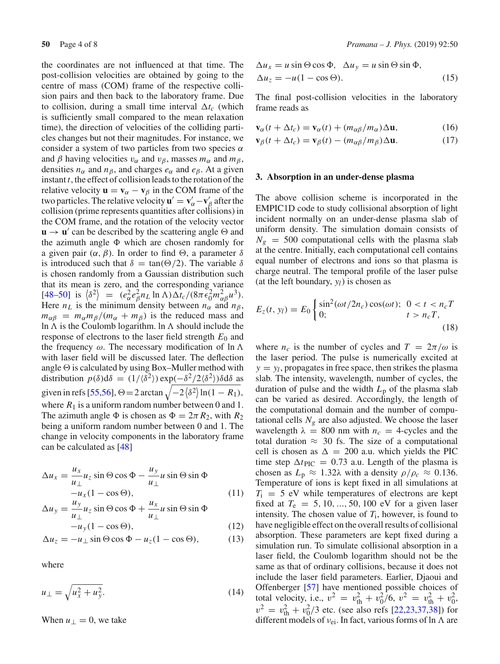the coordinates are not influenced at that time. The post-collision velocities are obtained by going to the centre of mass (COM) frame of the respective collision pairs and then back to the laboratory frame. Due to collision, during a small time interval  $\Delta t_c$  (which is sufficiently small compared to the mean relaxation time), the direction of velocities of the colliding particles changes but not their magnitudes. For instance, we consider a system of two particles from two species  $\alpha$ and  $\beta$  having velocities  $v_{\alpha}$  and  $v_{\beta}$ , masses  $m_{\alpha}$  and  $m_{\beta}$ , densities  $n_{\alpha}$  and  $n_{\beta}$ , and charges  $e_{\alpha}$  and  $e_{\beta}$ . At a given instant *t*, the effect of collision leads to the rotation of the relative velocity  $\mathbf{u} = \mathbf{v}_{\alpha} - \mathbf{v}_{\beta}$  in the COM frame of the two particles. The relative velocity  $\mathbf{u}' = \mathbf{v}'_\alpha - \mathbf{v}'_\beta$  after the collision (prime represents quantities after collisions) in the COM frame, and the rotation of the velocity vector  $\mathbf{u} \rightarrow \mathbf{u}'$  can be described by the scattering angle  $\Theta$  and the azimuth angle  $\Phi$  which are chosen randomly for a given pair  $(\alpha, \beta)$ . In order to find  $\Theta$ , a parameter  $\delta$ is introduced such that  $\delta = \tan(\Theta/2)$ . The variable  $\delta$ is chosen randomly from a Gaussian distribution such that its mean is zero, and the corresponding variance [\[48](#page-7-14)[–50\]](#page-7-13) is  $\langle \delta^2 \rangle = (e_\alpha^2 e_\beta^2 n_L \ln \Lambda) \Delta t_c / (8 \pi \epsilon_0^2 m_{\alpha \beta}^2 u^3)$ . Here  $n<sub>L</sub>$  is the minimum density between  $n<sub>\alpha</sub>$  and  $n<sub>\beta</sub>$ ,  $m_{\alpha\beta} = m_{\alpha}m_{\beta}/(m_{\alpha} + m_{\beta})$  is the reduced mass and ln  $\Lambda$  is the Coulomb logarithm. In  $\Lambda$  should include the response of electrons to the laser field strength *E*<sup>0</sup> and the frequency  $\omega$ . The necessary modification of ln  $\Lambda$ with laser field will be discussed later. The deflection angle  $\Theta$  is calculated by using Box–Muller method with distribution  $p(\delta)d\delta = (1/\langle \delta^2 \rangle) \exp(-\delta^2/2\langle \delta^2 \rangle) \delta d\delta$  as given in refs [\[55](#page-7-20)[,56](#page-7-21)],  $\Theta = 2 \arctan \sqrt{-2\left\langle \delta^2 \right\rangle \ln(1 - R_1)}$ , where  $R_1$  is a uniform random number between 0 and 1. The azimuth angle  $\Phi$  is chosen as  $\Phi = 2\pi R_2$ , with  $R_2$ being a uniform random number between 0 and 1. The change in velocity components in the laboratory frame can be calculated as [\[48](#page-7-14)]

$$
\Delta u_x = \frac{u_x}{u_{\perp}} u_z \sin \Theta \cos \Phi - \frac{u_y}{u_{\perp}} u \sin \Theta \sin \Phi \n- u_x (1 - \cos \Theta),
$$
\n(11)

$$
\Delta u_y = \frac{u_y}{u_\perp} u_z \sin \Theta \cos \Phi + \frac{u_x}{u_\perp} u \sin \Theta \sin \Phi -u_y (1 - \cos \Theta),
$$
\n(12)

$$
\Delta u_z = -u_\perp \sin \Theta \cos \Phi - u_z (1 - \cos \Theta), \tag{13}
$$

where

$$
u_{\perp} = \sqrt{u_x^2 + u_y^2}.\tag{14}
$$

When  $u_{\perp} = 0$ , we take

$$
\Delta u_x = u \sin \Theta \cos \Phi, \quad \Delta u_y = u \sin \Theta \sin \Phi, \n\Delta u_z = -u(1 - \cos \Theta).
$$
\n(15)

The final post-collision velocities in the laboratory frame reads as

$$
\mathbf{v}_{\alpha}(t + \Delta t_c) = \mathbf{v}_{\alpha}(t) + (m_{\alpha\beta}/m_{\alpha})\Delta \mathbf{u},\tag{16}
$$

$$
\mathbf{v}_{\beta}(t + \Delta t_c) = \mathbf{v}_{\beta}(t) - (m_{\alpha\beta}/m_{\beta})\Delta \mathbf{u}.
$$
 (17)

#### <span id="page-3-0"></span>**3. Absorption in an under-dense plasma**

The above collision scheme is incorporated in the EMPIC1D code to study collisional absorption of light incident normally on an under-dense plasma slab of uniform density. The simulation domain consists of  $N_g = 500$  computational cells with the plasma slab at the centre. Initially, each computational cell contains equal number of electrons and ions so that plasma is charge neutral. The temporal profile of the laser pulse (at the left boundary,  $y_l$ ) is chosen as

$$
E_z(t, y_l) = E_0 \begin{cases} \sin^2(\omega t / 2n_c) \cos(\omega t); & 0 < t < n_c T, \\ 0; & t > n_c T, \end{cases}
$$
(18)

where  $n_c$  is the number of cycles and  $T = 2\pi/\omega$  is the laser period. The pulse is numerically excited at  $y = y_l$ , propagates in free space, then strikes the plasma slab. The intensity, wavelength, number of cycles, the duration of pulse and the width  $L_p$  of the plasma slab can be varied as desired. Accordingly, the length of the computational domain and the number of computational cells  $N_g$  are also adjusted. We choose the laser wavelength  $\lambda = 800$  nm with  $n_c = 4$ -cycles and the total duration  $\approx$  30 fs. The size of a computational cell is chosen as  $\Delta = 200$  a.u. which yields the PIC time step  $\Delta t_{\text{PIC}} = 0.73$  a.u. Length of the plasma is chosen as  $L_p \approx 1.32\lambda$  with a density  $\rho/\rho_c \approx 0.136$ . Temperature of ions is kept fixed in all simulations at  $T_i = 5$  eV while temperatures of electrons are kept fixed at  $T_e = 5, 10, ..., 50, 100$  eV for a given laser intensity. The chosen value of *T*i, however, is found to have negligible effect on the overall results of collisional absorption. These parameters are kept fixed during a simulation run. To simulate collisional absorption in a laser field, the Coulomb logarithm should not be the same as that of ordinary collisions, because it does not include the laser field parameters. Earlier, Djaoui and Offenberger [\[57](#page-7-22)] have mentioned possible choices of total velocity, i.e.,  $v^2 = v_{\text{th}}^2 + v_0^2 / 6$ ,  $v^2 = v_{\text{th}}^2 + v_0^2$ ,  $v^2 = v_{\text{th}}^2 + v_0^2/3$  etc. (see also refs [\[22](#page-7-7)[,23](#page-7-23)[,37](#page-7-24)[,38\]](#page-7-25)) for different models of  $v_{ei}$ . In fact, various forms of ln  $\Lambda$  are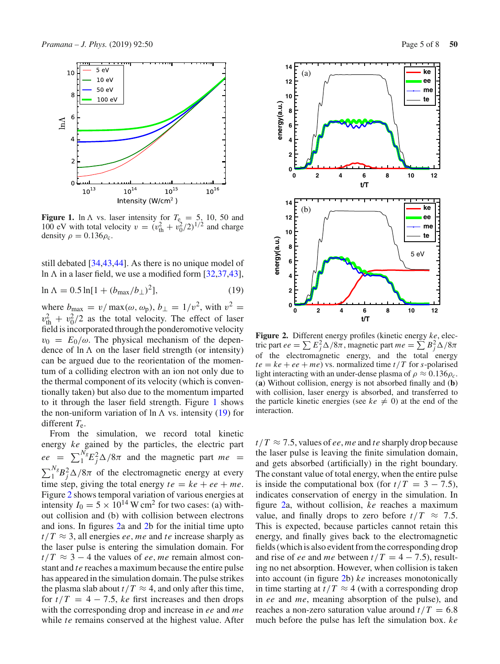

<span id="page-4-0"></span>**Figure 1.** ln  $\Lambda$  vs. laser intensity for  $T_e = 5$ , 10, 50 and 100 eV with total velocity  $v = (v_{\text{th}}^2 + v_0^2/2)^{1/2}$  and charge density  $\rho = 0.136 \rho_c$ .

still debated [\[34](#page-7-26)[,43](#page-7-0)[,44](#page-7-1)]. As there is no unique model of ln  $\Lambda$  in a laser field, we use a modified form [\[32](#page-7-9)[,37](#page-7-24)[,43](#page-7-0)],

$$
\ln \Lambda = 0.5 \ln[1 + (b_{\text{max}}/b_{\perp})^2],\tag{19}
$$

where  $b_{\text{max}} = v/\max(\omega, \omega_p)$ ,  $b_{\perp} = 1/v^2$ , with  $v^2 =$  $v_{\text{th}}^2 + v_0^2/2$  as the total velocity. The effect of laser field is incorporated through the ponderomotive velocity  $v_0 = E_0/\omega$ . The physical mechanism of the dependence of  $\ln \Lambda$  on the laser field strength (or intensity) can be argued due to the reorientation of the momentum of a colliding electron with an ion not only due to the thermal component of its velocity (which is conventionally taken) but also due to the momentum imparted to it through the laser field strength. Figure [1](#page-4-0) shows the non-uniform variation of  $\ln \Lambda$  vs. intensity [\(19\)](#page-4-1) for different *T*e.

From the simulation, we record total kinetic energy *ke* gained by the particles, the electric part  $ee = \sum_{1}^{N_g} E_j^2 \Delta / 8\pi$  and the magnetic part  $me =$  $\sum_{1}^{N_g} B_j^2 \Delta / 8\pi$  of the electromagnetic energy at every time step, giving the total energy  $te = ke + ee + me$ . Figure [2](#page-4-2) shows temporal variation of various energies at intensity  $I_0 = 5 \times 10^{14}$  W cm<sup>2</sup> for two cases: (a) without collision and (b) with collision between electrons and ions. In figures [2a](#page-4-2) and [2b](#page-4-2) for the initial time upto  $t/T \approx 3$ , all energies *ee*, *me* and *te* increase sharply as the laser pulse is entering the simulation domain. For  $t/T \approx 3 - 4$  the values of *ee*, *me* remain almost constant and *te* reaches a maximum because the entire pulse has appeared in the simulation domain. The pulse strikes the plasma slab about  $t/T \approx 4$ , and only after this time, for  $t/T = 4 - 7.5$ , *ke* first increases and then drops with the corresponding drop and increase in *ee* and *me* while *te* remains conserved at the highest value. After



<span id="page-4-2"></span><span id="page-4-1"></span>**Figure 2.** Different energy profiles (kinetic energy *ke*, electric part *ee* =  $\sum E_j^2 \Delta / 8\pi$ , magnetic part *me* =  $\sum E_j^2 \Delta / 8\pi$ of the electromagnetic energy, and the total energy  $te = ke + ee + me$ ) vs. normalized time  $t/T$  for *s*-polarised light interacting with an under-dense plasma of  $\rho \approx 0.136 \rho_c$ . (**a**) Without collision, energy is not absorbed finally and (**b**) with collision, laser energy is absorbed, and transferred to the particle kinetic energies (see  $ke \neq 0$ ) at the end of the interaction.

 $t/T \approx 7.5$ , values of *ee*, *me* and *te* sharply drop because the laser pulse is leaving the finite simulation domain, and gets absorbed (artificially) in the right boundary. The constant value of total energy, when the entire pulse is inside the computational box (for  $t/T = 3 - 7.5$ ), indicates conservation of energy in the simulation. In figure [2a](#page-4-2), without collision, *ke* reaches a maximum value, and finally drops to zero before  $t/T \approx 7.5$ . This is expected, because particles cannot retain this energy, and finally gives back to the electromagnetic fields (which is also evident from the corresponding drop and rise of *ee* and *me* between  $t/T = 4 - 7.5$ , resulting no net absorption. However, when collision is taken into account (in figure [2b](#page-4-2)) *ke* increases monotonically in time starting at  $t/T \approx 4$  (with a corresponding drop in *ee* and *me*, meaning absorption of the pulse), and reaches a non-zero saturation value around  $t/T = 6.8$ much before the pulse has left the simulation box. *ke*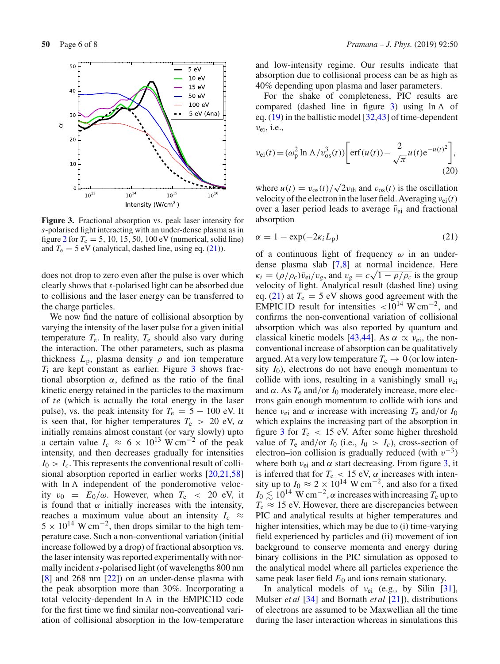

<span id="page-5-1"></span>**Figure 3.** Fractional absorption vs. peak laser intensity for *s*-polarised light interacting with an under-dense plasma as in figure [2](#page-4-2) for  $T_e = 5$ , 10, 15, 50, 100 eV (numerical, solid line) and  $T_e = 5$  eV (analytical, dashed line, using eq. [\(21\)](#page-5-0)).

does not drop to zero even after the pulse is over which clearly shows that *s*-polarised light can be absorbed due to collisions and the laser energy can be transferred to the charge particles.

We now find the nature of collisional absorption by varying the intensity of the laser pulse for a given initial temperature  $T_e$ . In reality,  $T_e$  should also vary during the interaction. The other parameters, such as plasma thickness  $L_p$ , plasma density  $\rho$  and ion temperature  $T<sub>i</sub>$  are kept constant as earlier. Figure  $3$  shows fractional absorption  $\alpha$ , defined as the ratio of the final kinetic energy retained in the particles to the maximum of *te* (which is actually the total energy in the laser pulse), vs. the peak intensity for  $T_e = 5 - 100$  eV. It is seen that, for higher temperatures  $T_e$  > 20 eV,  $\alpha$ initially remains almost constant (or vary slowly) upto a certain value  $I_c \approx 6 \times 10^{13}$  W cm<sup>-2</sup> of the peak intensity, and then decreases gradually for intensities  $I_0 > I_c$ . This represents the conventional result of collisional absorption reported in earlier works [\[20](#page-7-5)[,21](#page-7-6)[,58\]](#page-7-27) with  $\ln \Lambda$  independent of the ponderomotive velocity  $v_0 = E_0/\omega$ . However, when  $T_e < 20$  eV, it is found that  $\alpha$  initially increases with the intensity, reaches a maximum value about an intensity  $I_c \approx$  $5 \times 10^{14}$  W cm<sup>-2</sup>, then drops similar to the high temperature case. Such a non-conventional variation (initial increase followed by a drop) of fractional absorption vs. the laser intensity was reported experimentally with normally incident*s*-polarised light (of wavelengths 800 nm [\[8\]](#page-6-7) and 268 nm [\[22\]](#page-7-7)) on an under-dense plasma with the peak absorption more than 30%. Incorporating a total velocity-dependent  $\ln \Lambda$  in the EMPIC1D code for the first time we find similar non-conventional variation of collisional absorption in the low-temperature

and low-intensity regime. Our results indicate that absorption due to collisional process can be as high as 40% depending upon plasma and laser parameters.

For the shake of completeness, PIC results are compared (dashed line in figure [3\)](#page-5-1) using  $\ln \Lambda$  of eq. [\(19\)](#page-4-1) in the ballistic model [\[32](#page-7-9)[,43\]](#page-7-0) of time-dependent  $v_{\rm ei}$ , i.e.,

$$
v_{\rm ei}(t) = (\omega_{\rm p}^2 \ln \Lambda / v_{\rm os}^3(t)) \left[ \text{erf}(u(t)) - \frac{2}{\sqrt{\pi}} u(t) e^{-u(t)^2} \right],
$$
\n(20)

where  $u(t) = v_{\text{os}}(t)/\sqrt{2}v_{\text{th}}$  and  $v_{\text{os}}(t)$  is the oscillation velocity of the electron in the laser field. Averaging  $v_{ei}(t)$ over a laser period leads to average  $\bar{\nu}_{ei}$  and fractional absorption

<span id="page-5-0"></span>
$$
\alpha = 1 - \exp(-2\kappa_i L_p) \tag{21}
$$

of a continuous light of frequency  $\omega$  in an underdense plasma slab [\[7](#page-6-6)[,8](#page-6-7)] at normal incidence. Here  $\kappa_i = (\rho/\rho_c)\bar{v}_{ei}/v_g$ , and  $v_g = c\sqrt{1 - \rho/\rho_c}$  is the group velocity of light. Analytical result (dashed line) using eq. [\(21\)](#page-5-0) at  $T_e = 5$  eV shows good agreement with the EMPIC1D result for intensities  $\langle 10^{14} \text{ W cm}^{-2} \rangle$ , and confirms the non-conventional variation of collisional absorption which was also reported by quantum and classical kinetic models [\[43](#page-7-0)[,44\]](#page-7-1). As  $\alpha \propto \nu_{\rm ei}$ , the nonconventional increase of absorption can be qualitatively argued. At a very low temperature  $T_e \rightarrow 0$  (or low intensity  $I_0$ ), electrons do not have enough momentum to collide with ions, resulting in a vanishingly small  $v_{ei}$ and  $\alpha$ . As  $T_e$  and/or  $I_0$  moderately increase, more electrons gain enough momentum to collide with ions and hence  $v_{ei}$  and  $\alpha$  increase with increasing  $T_e$  and/or  $I_0$ which explains the increasing part of the absorption in figure [3](#page-5-1) for  $T_e$  < 15 eV. After some higher threshold value of  $T_e$  and/or  $I_0$  (i.e.,  $I_0 > I_c$ ), cross-section of electron–ion collision is gradually reduced (with  $v^{-3}$ ) where both  $v_{ei}$  and  $\alpha$  start decreasing. From figure [3,](#page-5-1) it is inferred that for  $T_e$  < 15 eV,  $\alpha$  increases with intensity up to  $I_0 \approx 2 \times 10^{14}$  W cm<sup>-2</sup>, and also for a fixed  $I_0 \lesssim 10^{14} \; \text{W}\, \text{cm}^{-2},$   $\alpha$  increases with increasing  $T_\text{e}$  up to  $T_e \approx 15$  eV. However, there are discrepancies between PIC and analytical results at higher temperatures and higher intensities, which may be due to (i) time-varying field experienced by particles and (ii) movement of ion background to conserve momenta and energy during binary collisions in the PIC simulation as opposed to the analytical model where all particles experience the same peak laser field  $E_0$  and ions remain stationary.

In analytical models of  $v_{ei}$  (e.g., by Silin [\[31](#page-7-28)], Mulser *et al* [\[34\]](#page-7-26) and Bornath *et al* [\[21](#page-7-6)]), distributions of electrons are assumed to be Maxwellian all the time during the laser interaction whereas in simulations this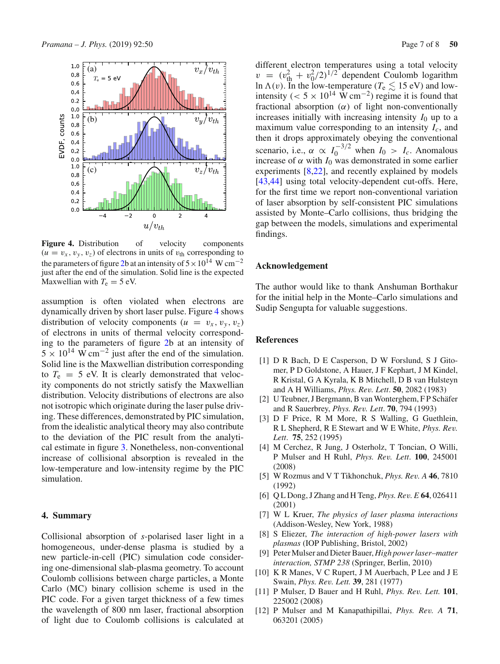

<span id="page-6-9"></span>**Figure 4.** Distribution of velocity components  $(u = v_x, v_y, v_z)$  of electrons in units of  $v_{\text{th}}$  corresponding to the parameters of figure [2b](#page-4-2) at an intensity of  $5 \times 10^{14}$  W cm<sup>-2</sup> just after the end of the simulation. Solid line is the expected Maxwellian with  $T_e = 5$  eV.

assumption is often violated when electrons are dynamically driven by short laser pulse. Figure [4](#page-6-9) shows distribution of velocity components  $(u = v_x, v_y, v_z)$ of electrons in units of thermal velocity corresponding to the parameters of figure [2b](#page-4-2) at an intensity of  $5 \times 10^{14}$  W cm<sup>-2</sup> just after the end of the simulation. Solid line is the Maxwellian distribution corresponding to  $T_e$  = 5 eV. It is clearly demonstrated that velocity components do not strictly satisfy the Maxwellian distribution. Velocity distributions of electrons are also not isotropic which originate during the laser pulse driving. These differences, demonstrated by PIC simulation, from the idealistic analytical theory may also contribute to the deviation of the PIC result from the analytical estimate in figure [3.](#page-5-1) Nonetheless, non-conventional increase of collisional absorption is revealed in the low-temperature and low-intensity regime by the PIC simulation.

#### <span id="page-6-8"></span>**4. Summary**

Collisional absorption of *s*-polarised laser light in a homogeneous, under-dense plasma is studied by a new particle-in-cell (PIC) simulation code considering one-dimensional slab-plasma geometry. To account Coulomb collisions between charge particles, a Monte Carlo (MC) binary collision scheme is used in the PIC code. For a given target thickness of a few times the wavelength of 800 nm laser, fractional absorption of light due to Coulomb collisions is calculated at

different electron temperatures using a total velocity  $v = (v_{\text{th}}^2 + v_0^2/2)^{1/2}$  dependent Coulomb logarithm ln  $\Lambda(v)$ . In the low-temperature ( $T_e \lesssim 15$  eV) and lowintensity (<  $5 \times 10^{14}$  W cm<sup>-2</sup>) regime it is found that fractional absorption  $(\alpha)$  of light non-conventionally increases initially with increasing intensity  $I_0$  up to a maximum value corresponding to an intensity  $I_c$ , and then it drops approximately obeying the conventional scenario, i.e.,  $\alpha \propto I_0^{-3/2}$  when  $I_0 > I_c$ . Anomalous increase of  $\alpha$  with  $I_0$  was demonstrated in some earlier experiments [\[8](#page-6-7)[,22\]](#page-7-7), and recently explained by models [\[43](#page-7-0)[,44\]](#page-7-1) using total velocity-dependent cut-offs. Here, for the first time we report non-conventional variation of laser absorption by self-consistent PIC simulations assisted by Monte–Carlo collisions, thus bridging the gap between the models, simulations and experimental findings.

# **Acknowledgement**

The author would like to thank Anshuman Borthakur for the initial help in the Monte–Carlo simulations and Sudip Sengupta for valuable suggestions.

#### **References**

- <span id="page-6-0"></span>[1] D R Bach, D E Casperson, D W Forslund, S J Gitomer, P D Goldstone, A Hauer, J F Kephart, J M Kindel, R Kristal, G A Kyrala, K B Mitchell, D B van Hulsteyn and A H Williams, *Phys. Rev. Lett*. **50**, 2082 (1983)
- [2] U Teubner, J Bergmann, B van Wonterghem, F P Schäfer and R Sauerbrey, *Phys. Rev. Lett*. **70**, 794 (1993)
- [3] D F Price, R M More, R S Walling, G Guethlein, R L Shepherd, R E Stewart and W E White, *Phys. Rev. Lett*. **75**, 252 (1995)
- <span id="page-6-1"></span>[4] M Cerchez, R Jung, J Osterholz, T Toncian, O Willi, P Mulser and H Ruhl, *Phys. Rev. Lett*. **100**, 245001 (2008)
- <span id="page-6-2"></span>[5] W Rozmus and V T Tikhonchuk, *Phys. Rev. A* **46**, 7810 (1992)
- [6] Q L Dong, J Zhang and H Teng, *Phys. Rev. E* **64**, 026411 (2001)
- <span id="page-6-6"></span>[7] W L Kruer, *The physics of laser plasma interactions* (Addison-Wesley, New York, 1988)
- <span id="page-6-7"></span>[8] S Eliezer, *The interaction of high-power lasers with plasmas* (IOP Publishing, Bristol, 2002)
- <span id="page-6-3"></span>[9] Peter Mulser and Dieter Bauer, *High power laser–matter interaction, STMP 238* (Springer, Berlin, 2010)
- <span id="page-6-4"></span>[10] K R Manes, V C Rupert, J M Auerbach, P Lee and J E Swain, *Phys. Rev. Lett.* **39**, 281 (1977)
- <span id="page-6-5"></span>[11] P Mulser, D Bauer and H Ruhl, *Phys. Rev. Lett.* **101**, 225002 (2008)
- [12] P Mulser and M Kanapathipillai, *Phys. Rev. A* **71**, 063201 (2005)